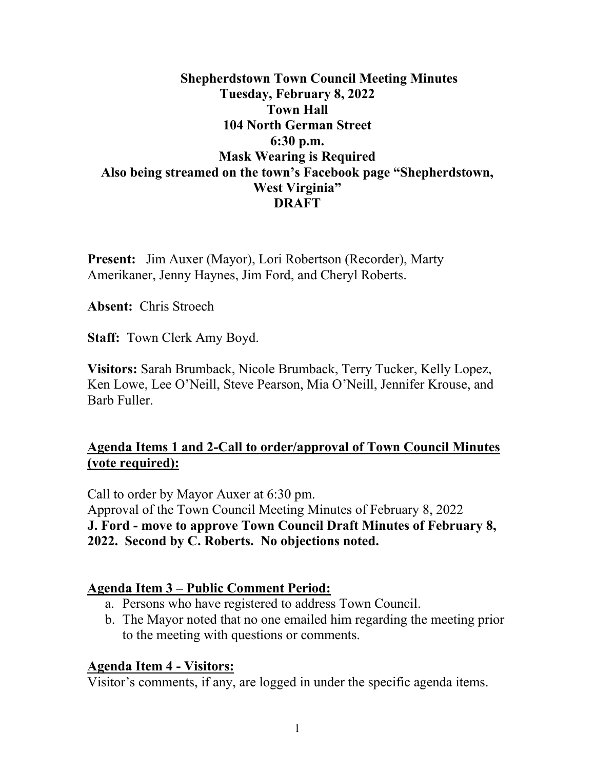### **Shepherdstown Town Council Meeting Minutes Tuesday, February 8, 2022 Town Hall 104 North German Street 6:30 p.m. Mask Wearing is Required Also being streamed on the town's Facebook page "Shepherdstown, West Virginia" DRAFT**

**Present:** Jim Auxer (Mayor), Lori Robertson (Recorder), Marty Amerikaner, Jenny Haynes, Jim Ford, and Cheryl Roberts.

**Absent:** Chris Stroech

**Staff:** Town Clerk Amy Boyd.

**Visitors:** Sarah Brumback, Nicole Brumback, Terry Tucker, Kelly Lopez, Ken Lowe, Lee O'Neill, Steve Pearson, Mia O'Neill, Jennifer Krouse, and Barb Fuller.

### **Agenda Items 1 and 2-Call to order/approval of Town Council Minutes (vote required):**

Call to order by Mayor Auxer at 6:30 pm. Approval of the Town Council Meeting Minutes of February 8, 2022 **J. Ford - move to approve Town Council Draft Minutes of February 8, 2022. Second by C. Roberts. No objections noted.**

### **Agenda Item 3 – Public Comment Period:**

- a. Persons who have registered to address Town Council.
- b. The Mayor noted that no one emailed him regarding the meeting prior to the meeting with questions or comments.

#### **Agenda Item 4 - Visitors:**

Visitor's comments, if any, are logged in under the specific agenda items.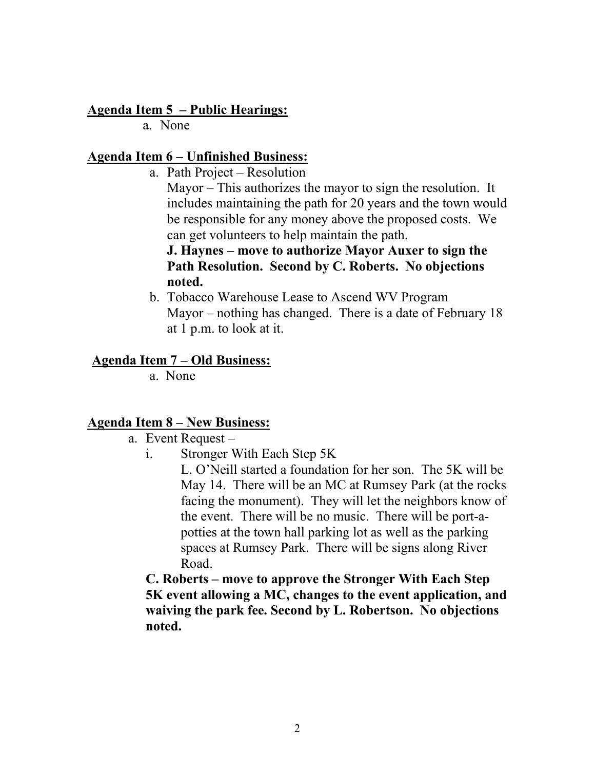#### **Agenda Item 5 – Public Hearings:**

a. None

#### **Agenda Item 6 – Unfinished Business:**

a. Path Project – Resolution

Mayor – This authorizes the mayor to sign the resolution. It includes maintaining the path for 20 years and the town would be responsible for any money above the proposed costs. We can get volunteers to help maintain the path.

#### **J. Haynes – move to authorize Mayor Auxer to sign the Path Resolution. Second by C. Roberts. No objections noted.**

b. Tobacco Warehouse Lease to Ascend WV Program Mayor – nothing has changed. There is a date of February 18 at 1 p.m. to look at it.

#### **Agenda Item 7 – Old Business:**

a. None

## **Agenda Item 8 – New Business:**

- a. Event Request
	- i. Stronger With Each Step 5K

L. O'Neill started a foundation for her son. The 5K will be May 14. There will be an MC at Rumsey Park (at the rocks facing the monument). They will let the neighbors know of the event. There will be no music. There will be port-apotties at the town hall parking lot as well as the parking spaces at Rumsey Park. There will be signs along River Road.

**C. Roberts – move to approve the Stronger With Each Step 5K event allowing a MC, changes to the event application, and waiving the park fee. Second by L. Robertson. No objections noted.**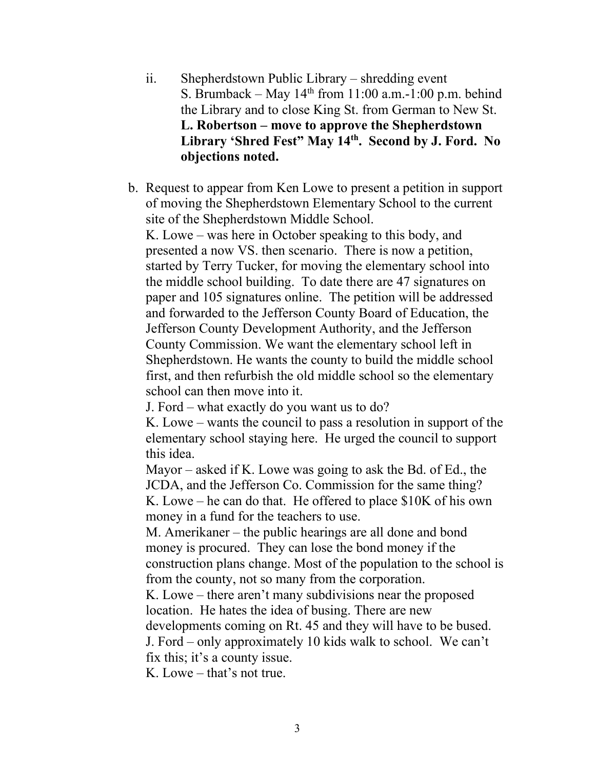- ii. Shepherdstown Public Library shredding event S. Brumback – May  $14<sup>th</sup>$  from 11:00 a.m.-1:00 p.m. behind the Library and to close King St. from German to New St. **L. Robertson – move to approve the Shepherdstown Library 'Shred Fest" May 14th. Second by J. Ford. No objections noted.**
- b. Request to appear from Ken Lowe to present a petition in support of moving the Shepherdstown Elementary School to the current site of the Shepherdstown Middle School.

K. Lowe – was here in October speaking to this body, and presented a now VS. then scenario. There is now a petition, started by Terry Tucker, for moving the elementary school into the middle school building. To date there are 47 signatures on paper and 105 signatures online. The petition will be addressed and forwarded to the Jefferson County Board of Education, the Jefferson County Development Authority, and the Jefferson County Commission. We want the elementary school left in Shepherdstown. He wants the county to build the middle school first, and then refurbish the old middle school so the elementary school can then move into it.

J. Ford – what exactly do you want us to do?

K. Lowe – wants the council to pass a resolution in support of the elementary school staying here. He urged the council to support this idea.

Mayor – asked if K. Lowe was going to ask the Bd. of Ed., the JCDA, and the Jefferson Co. Commission for the same thing? K. Lowe – he can do that. He offered to place \$10K of his own money in a fund for the teachers to use.

M. Amerikaner – the public hearings are all done and bond money is procured. They can lose the bond money if the construction plans change. Most of the population to the school is from the county, not so many from the corporation.

K. Lowe – there aren't many subdivisions near the proposed location. He hates the idea of busing. There are new

developments coming on Rt. 45 and they will have to be bused.

J. Ford – only approximately 10 kids walk to school. We can't fix this; it's a county issue.

K. Lowe – that's not true.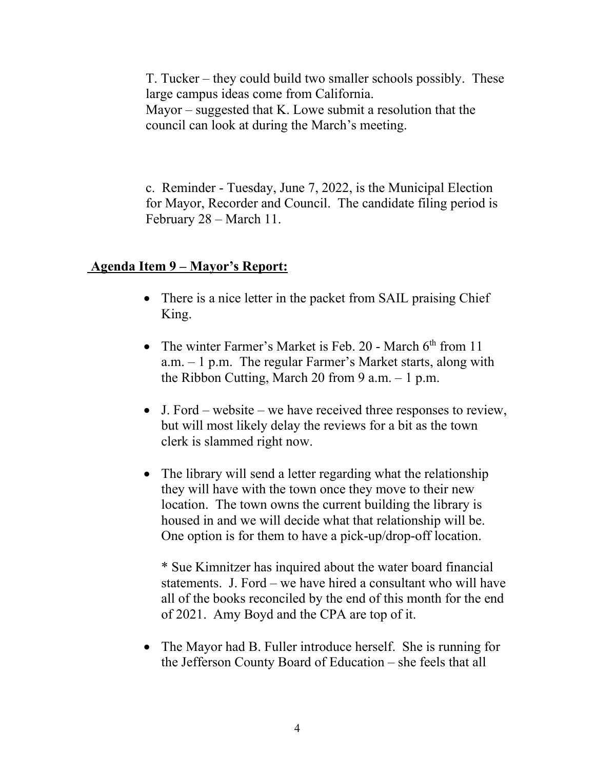T. Tucker – they could build two smaller schools possibly. These large campus ideas come from California. Mayor – suggested that K. Lowe submit a resolution that the council can look at during the March's meeting.

c. Reminder - Tuesday, June 7, 2022, is the Municipal Election for Mayor, Recorder and Council. The candidate filing period is February 28 – March 11.

#### **Agenda Item 9 – Mayor's Report:**

- There is a nice letter in the packet from SAIL praising Chief King.
- The winter Farmer's Market is Feb. 20 March  $6<sup>th</sup>$  from 11 a.m. – 1 p.m. The regular Farmer's Market starts, along with the Ribbon Cutting, March 20 from 9 a.m.  $-1$  p.m.
- J. Ford website we have received three responses to review, but will most likely delay the reviews for a bit as the town clerk is slammed right now.
- The library will send a letter regarding what the relationship they will have with the town once they move to their new location. The town owns the current building the library is housed in and we will decide what that relationship will be. One option is for them to have a pick-up/drop-off location.

\* Sue Kimnitzer has inquired about the water board financial statements. J. Ford – we have hired a consultant who will have all of the books reconciled by the end of this month for the end of 2021. Amy Boyd and the CPA are top of it.

• The Mayor had B. Fuller introduce herself. She is running for the Jefferson County Board of Education – she feels that all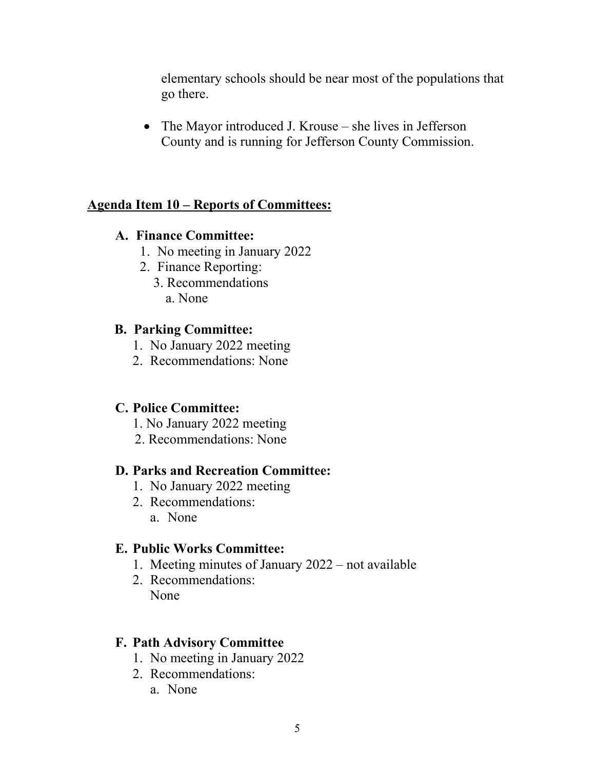elementary schools should be near most of the populations that go there.

• The Mayor introduced J. Krouse – she lives in Jefferson County and is running for Jefferson County Commission.

## **Agenda Item 10 – Reports of Committees:**

### **A. Finance Committee:**

- 1. No meeting in January 2022
- 2. Finance Reporting:
	- 3. Recommendations a. None

### **B. Parking Committee:**

- 1. No January 2022 meeting
- 2. Recommendations: None

### **C. Police Committee:**

- 1. No January 2022 meeting
- 2. Recommendations: None

#### **D. Parks and Recreation Committee:**

- 1. No January 2022 meeting
- 2. Recommendations:
	- a. None

#### **E. Public Works Committee:**

- 1. Meeting minutes of January 2022 not available
- 2. Recommendations: None

#### **F. Path Advisory Committee**

- 1. No meeting in January 2022
- 2. Recommendations:
	- a. None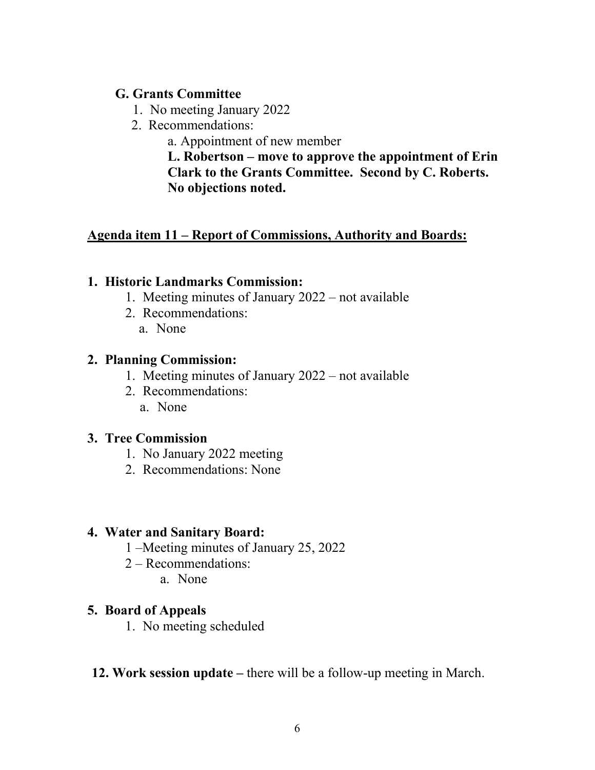### **G. Grants Committee**

- 1. No meeting January 2022
- 2. Recommendations:

a. Appointment of new member

**L. Robertson – move to approve the appointment of Erin Clark to the Grants Committee. Second by C. Roberts. No objections noted.**

## **Agenda item 11 – Report of Commissions, Authority and Boards:**

### **1. Historic Landmarks Commission:**

- 1. Meeting minutes of January 2022 not available
- 2. Recommendations:
	- a. None

### **2. Planning Commission:**

- 1. Meeting minutes of January 2022 not available
- 2. Recommendations: a. None

### **3. Tree Commission**

- 1. No January 2022 meeting
- 2. Recommendations: None

#### **4. Water and Sanitary Board:**

- 1 –Meeting minutes of January 25, 2022
- 2 Recommendations:
	- a. None

### **5. Board of Appeals**

- 1. No meeting scheduled
- **12. Work session update** there will be a follow-up meeting in March.